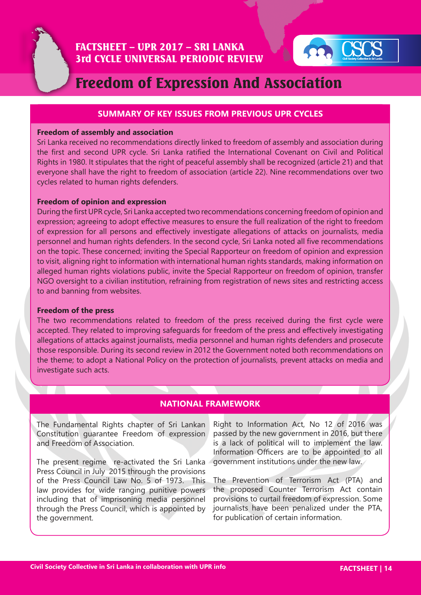



# Freedom of Expression And Association

### **SUMMARY OF KEY ISSUES FROM PREVIOUS UPR CYCLES**

#### **Freedom of assembly and association**

Sri Lanka received no recommendations directly linked to freedom of assembly and association during the first and second UPR cycle. Sri Lanka ratified the International Covenant on Civil and Political Rights in 1980. It stipulates that the right of peaceful assembly shall be recognized (article 21) and that everyone shall have the right to freedom of association (article 22). Nine recommendations over two cycles related to human rights defenders.

#### **Freedom of opinion and expression**

During the first UPR cycle, Sri Lanka accepted two recommendations concerning freedom of opinion and expression; agreeing to adopt effective measures to ensure the full realization of the right to freedom of expression for all persons and effectively investigate allegations of attacks on journalists, media personnel and human rights defenders. In the second cycle, Sri Lanka noted all five recommendations on the topic. These concerned; inviting the Special Rapporteur on freedom of opinion and expression to visit, aligning right to information with international human rights standards, making information on alleged human rights violations public, invite the Special Rapporteur on freedom of opinion, transfer NGO oversight to a civilian institution, refraining from registration of news sites and restricting access to and banning from websites.

#### **Freedom of the press**

The two recommendations related to freedom of the press received during the first cycle were accepted. They related to improving safeguards for freedom of the press and effectively investigating allegations of attacks against journalists, media personnel and human rights defenders and prosecute those responsible. During its second review in 2012 the Government noted both recommendations on the theme; to adopt a National Policy on the protection of journalists, prevent attacks on media and investigate such acts.

## **NATIONAL FRAMEWORK**

The Fundamental Rights chapter of Sri Lankan Constitution guarantee Freedom of expression and Freedom of Association.

The present regime re-activated the Sri Lanka Press Council in July 2015 through the provisions of the Press Council Law No. 5 of 1973. This law provides for wide ranging punitive powers including that of imprisoning media personnel through the Press Council, which is appointed by the government.

Right to Information Act, No 12 of 2016 was passed by the new government in 2016, but there is a lack of political will to implement the law. Information Officers are to be appointed to all government institutions under the new law.

The Prevention of Terrorism Act (PTA) and the proposed Counter Terrorism Act contain provisions to curtail freedom of expression. Some journalists have been penalized under the PTA, for publication of certain information.